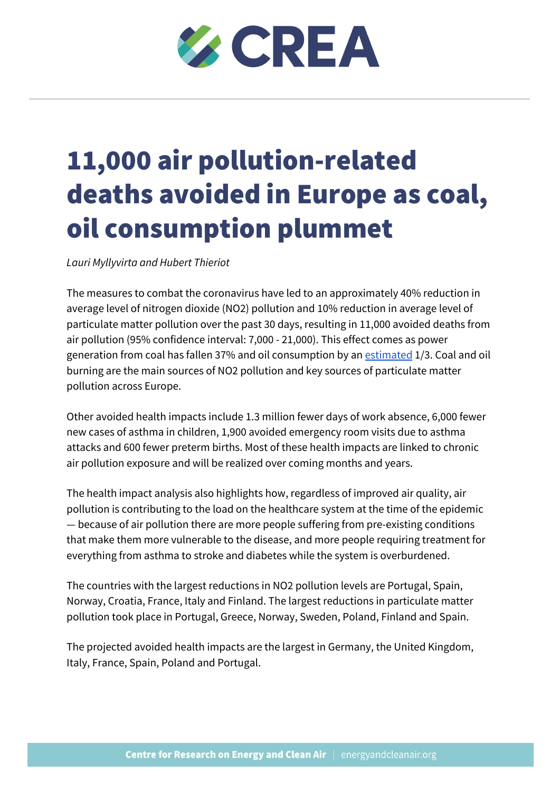# **EXCREA**

# 11,000 air pollution-related deaths avoided in Europe as coal, oil consumption plummet

*Lauri Myllyvirta and Hubert Thieriot*

The measures to combat the coronavirus have led to an approximately 40% reduction in average level of nitrogen dioxide (NO2) pollution and 10% reduction in average level of particulate matter pollution over the past 30 days, resulting in 11,000 avoided deaths from air pollution (95% confidence interval: 7,000 - 21,000). This effect comes as power generation from coal has fallen 37% and oil consumption by an [estimated](https://www.oilandgasmiddleeast.com/drilling-production/36553-coronavirus-hits-demand-oil-seen-down-96-rystad-energy) 1/3. Coal and oil burning are the main sources of NO2 pollution and key sources of particulate matter pollution across Europe.

Other avoided health impacts include 1.3 million fewer days of work absence, 6,000 fewer new cases of asthma in children, 1,900 avoided emergency room visits due to asthma attacks and 600 fewer preterm births. Most of these health impacts are linked to chronic air pollution exposure and will be realized over coming months and years.

The health impact analysis also highlights how, regardless of improved air quality, air pollution is contributing to the load on the healthcare system at the time of the epidemic — because of air pollution there are more people suffering from pre-existing conditions that make them more vulnerable to the disease, and more people requiring treatment for everything from asthma to stroke and diabetes while the system is overburdened.

The countries with the largest reductions in NO2 pollution levels are Portugal, Spain, Norway, Croatia, France, Italy and Finland. The largest reductions in particulate matter pollution took place in Portugal, Greece, Norway, Sweden, Poland, Finland and Spain.

The projected avoided health impacts are the largest in Germany, the United Kingdom, Italy, France, Spain, Poland and Portugal.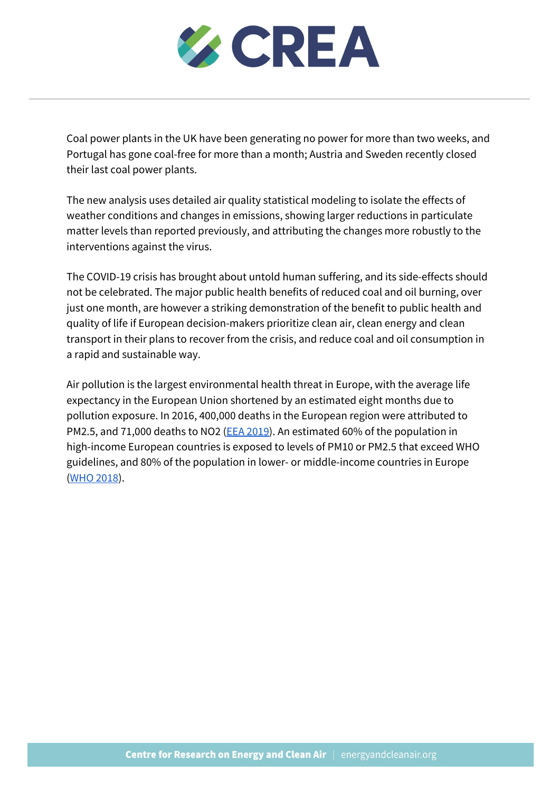

Coal power plants in the UK have been generating no power for more than two weeks, and Portugal has gone coal-free for more than a month; Austria and Sweden recently closed their last coal power plants.

The new analysis uses detailed air quality statistical modeling to isolate the effects of weather conditions and changes in emissions, showing larger reductions in particulate matter levels than reported previously, and attributing the changes more robustly to the interventions against the virus.

The COVID-19 crisis has brought about untold human suffering, and its side-effects should not be celebrated. The major public health benefits of reduced coal and oil burning, over just one month, are however a striking demonstration of the benefit to public health and quality of life if European decision-makers prioritize clean air, clean energy and clean transport in their plans to recover from the crisis, and reduce coal and oil consumption in a rapid and sustainable way.

Air pollution is the largest environmental health threat in Europe, with the average life expectancy in the European Union shortened by an estimated eight months due to pollution exposure. In 2016, 400,000 deaths in the European region were attributed to PM2.5, and 71,000 deaths to NO2 (EEA [2019\)](https://www.eea.europa.eu/publications/air-quality-in-europe-2019/air-quality-in-europe-2019/viewfile#pdfjs.action=download). An estimated 60% of the population in high-income European countries is exposed to levels of PM10 or PM2.5 that exceed WHO guidelines, and 80% of the population in lower- or middle-income countries in Europe [\(WHO](http://www.euro.who.int/en/health-topics/environment-and-health/air-quality/news/news/2018/5/over-half-a-million-premature-deaths-annually-in-the-european-region-attributable-to-household-and-ambient-air-pollution) 2018).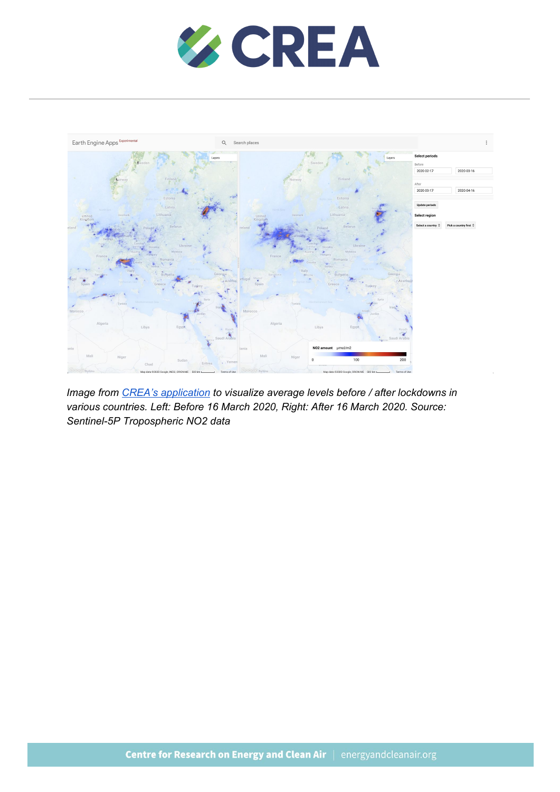



*Image from CREA's [application](https://hubertthieriot.users.earthengine.app/view/crea-no2---lockdown-impact#before-start=2020-02-17;before-end=2020-03-16;after-start=2020-03-17;after-end=2020-04-16;) to visualize average levels before / after lockdowns in various countries. Left: Before 16 March 2020, Right: After 16 March 2020. Source: Sentinel-5P Tropospheric NO2 data*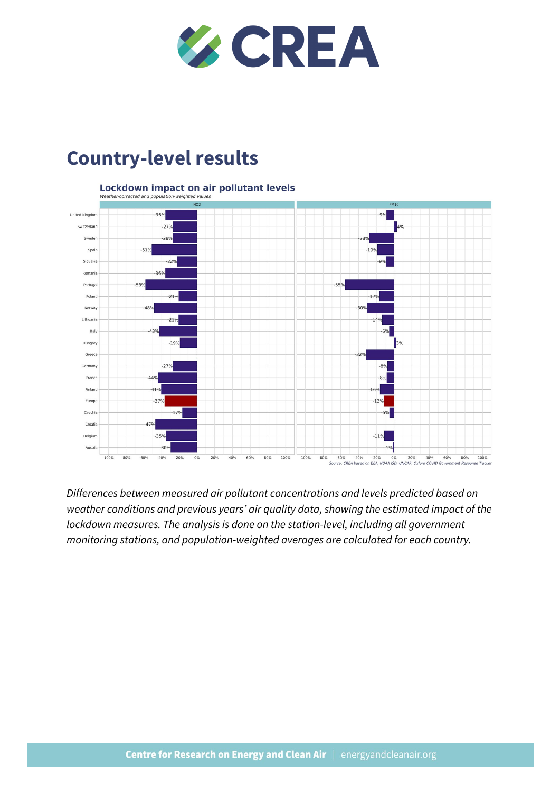

### **Country-level results**



*Differences between measured air pollutant concentrations and levels predicted based on weather conditions and previous years' air quality data, showing the estimated impact of the lockdown measures. The analysis is done on the station-level, including all government monitoring stations, and population-weighted averages are calculated for each country.*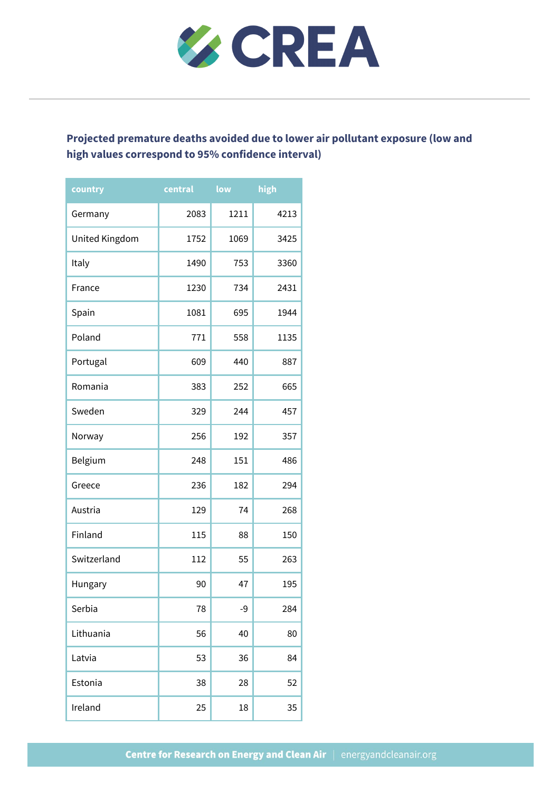

#### **Projected premature deaths avoided due to lower air pollutant exposure (low and high values correspond to 95% confidence interval)**

| country        | central | low  | high |
|----------------|---------|------|------|
| Germany        | 2083    | 1211 | 4213 |
| United Kingdom | 1752    | 1069 | 3425 |
| Italy          | 1490    | 753  | 3360 |
| France         | 1230    | 734  | 2431 |
| Spain          | 1081    | 695  | 1944 |
| Poland         | 771     | 558  | 1135 |
| Portugal       | 609     | 440  | 887  |
| Romania        | 383     | 252  | 665  |
| Sweden         | 329     | 244  | 457  |
| Norway         | 256     | 192  | 357  |
| Belgium        | 248     | 151  | 486  |
| Greece         | 236     | 182  | 294  |
| Austria        | 129     | 74   | 268  |
| Finland        | 115     | 88   | 150  |
| Switzerland    | 112     | 55   | 263  |
| Hungary        | 90      | 47   | 195  |
| Serbia         | 78      | -9   | 284  |
| Lithuania      | 56      | 40   | 80   |
| Latvia         | 53      | 36   | 84   |
| Estonia        | 38      | 28   | 52   |
| Ireland        | 25      | 18   | 35   |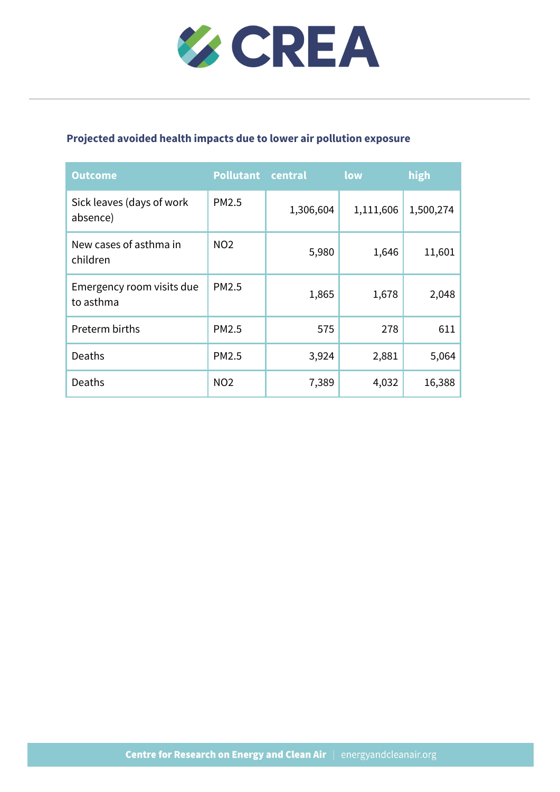

#### **Projected avoided health impacts due to lower air pollution exposure**

| <b>Outcome</b>                         | <b>Pollutant</b> | central   | low       | high      |
|----------------------------------------|------------------|-----------|-----------|-----------|
| Sick leaves (days of work<br>absence)  | PM2.5            | 1,306,604 | 1,111,606 | 1,500,274 |
| New cases of asthma in<br>children     | <b>NO2</b>       | 5,980     | 1,646     | 11,601    |
| Emergency room visits due<br>to asthma | PM2.5            | 1,865     | 1,678     | 2,048     |
| Preterm births                         | PM2.5            | 575       | 278       | 611       |
| Deaths                                 | PM2.5            | 3,924     | 2,881     | 5,064     |
| Deaths                                 | <b>NO2</b>       | 7,389     | 4,032     | 16,388    |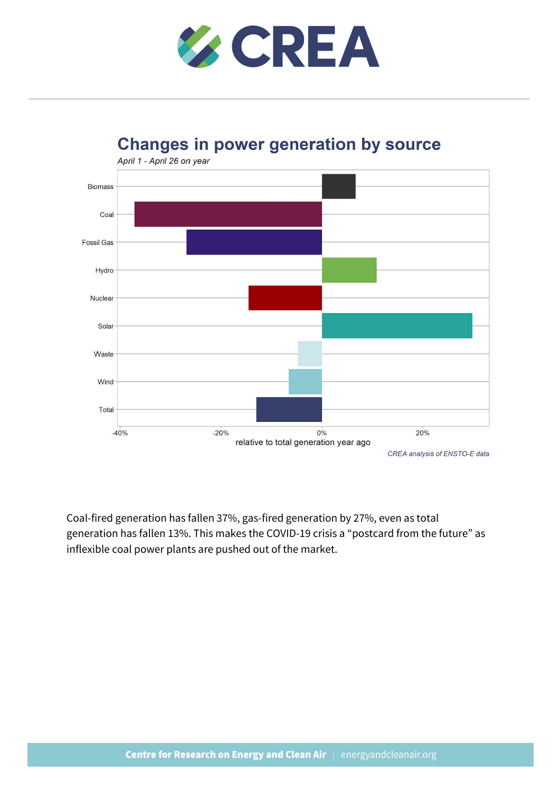

#### **Changes in power generation by source**



Coal-fired generation has fallen 37%, gas-fired generation by 27%, even as total generation has fallen 13%. This makes the COVID-19 crisis a "postcard from the future" as inflexible coal power plants are pushed out of the market.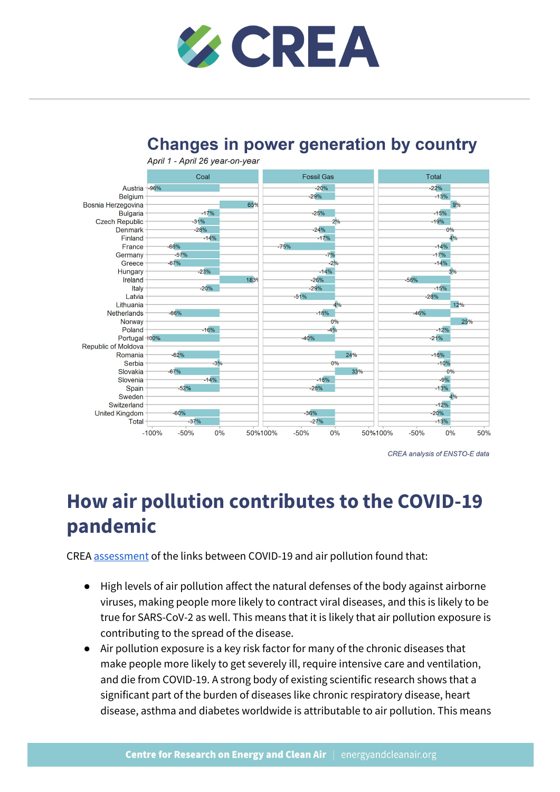



#### **Changes in power generation by country**

CREA analysis of ENSTO-E data

## **How air pollution contributes to the COVID-19 pandemic**

CREA [assessment](https://energyandcleanair.org/publications/how-air-pollution-worsens-the-covid-19-pandemic/) of the links between COVID-19 and air pollution found that:

- High levels of air pollution affect the natural defenses of the body against airborne viruses, making people more likely to contract viral diseases, and this is likely to be true for SARS-CoV-2 as well. This means that it is likely that air pollution exposure is contributing to the spread of the disease.
- Air pollution exposure is a key risk factor for many of the chronic diseases that make people more likely to get severely ill, require intensive care and ventilation, and die from COVID-19. A strong body of existing scientific research shows that a significant part of the burden of diseases like chronic respiratory disease, heart disease, asthma and diabetes worldwide is attributable to air pollution. This means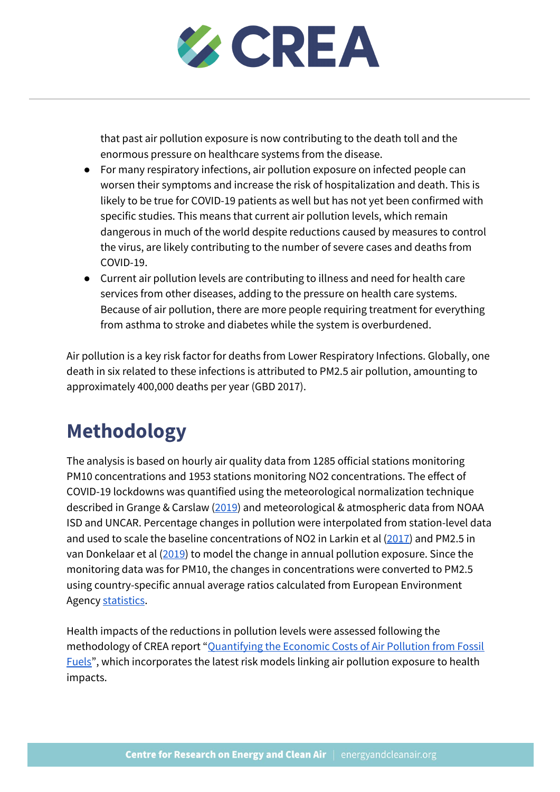

that past air pollution exposure is now contributing to the death toll and the enormous pressure on healthcare systems from the disease.

- For many respiratory infections, air pollution exposure on infected people can worsen their symptoms and increase the risk of hospitalization and death. This is likely to be true for COVID-19 patients as well but has not yet been confirmed with specific studies. This means that current air pollution levels, which remain dangerous in much of the world despite reductions caused by measures to control the virus, are likely contributing to the number of severe cases and deaths from COVID-19.
- Current air pollution levels are contributing to illness and need for health care services from other diseases, adding to the pressure on health care systems. Because of air pollution, there are more people requiring treatment for everything from asthma to stroke and diabetes while the system is overburdened.

Air pollution is a key risk factor for deaths from Lower Respiratory Infections. Globally, one death in six related to these infections is attributed to PM2.5 air pollution, amounting to approximately 400,000 deaths per year (GBD 2017).

# **Methodology**

The analysis is based on hourly air quality data from 1285 official stations monitoring PM10 concentrations and 1953 stations monitoring NO2 concentrations. The effect of COVID-19 lockdowns was quantified using the meteorological normalization technique described in Grange & Carslaw ([2019\)](https://www.sciencedirect.com/science/article/pii/S004896971834244X?via%3Dihub) and meteorological & atmospheric data from NOAA ISD and UNCAR. Percentage changes in pollution were interpolated from station-level data and used to scale the baseline concentrations of NO2 in Larkin et al [\(2017\)](https://dx.doi.org/10.1021/acs.est.7b01148) and PM2.5 in van Donkelaar et al [\(2019](http://dx.doi.org/10.1021/acs.est.8b06392)) to model the change in annual pollution exposure. Since the monitoring data was for PM10, the changes in concentrations were converted to PM2.5 using country-specific annual average ratios calculated from European Environment Agency [statistics](http://aidef.apps.eea.europa.eu/?source=%7B%22query%22%3A%7B%22match_all%22%3A%7B%7D%7D%2C%22display_type%22%3A%22tabular%22%7D).

Health impacts of the reductions in pollution levels were assessed following the methodology of CREA report ["Quantifying](https://energyandcleanair.org/publications/costs-of-air-pollution-from-fossil-fuels/) the Economic Costs of Air Pollution from Fossil [Fuels"](https://energyandcleanair.org/publications/costs-of-air-pollution-from-fossil-fuels/), which incorporates the latest risk models linking air pollution exposure to health impacts.